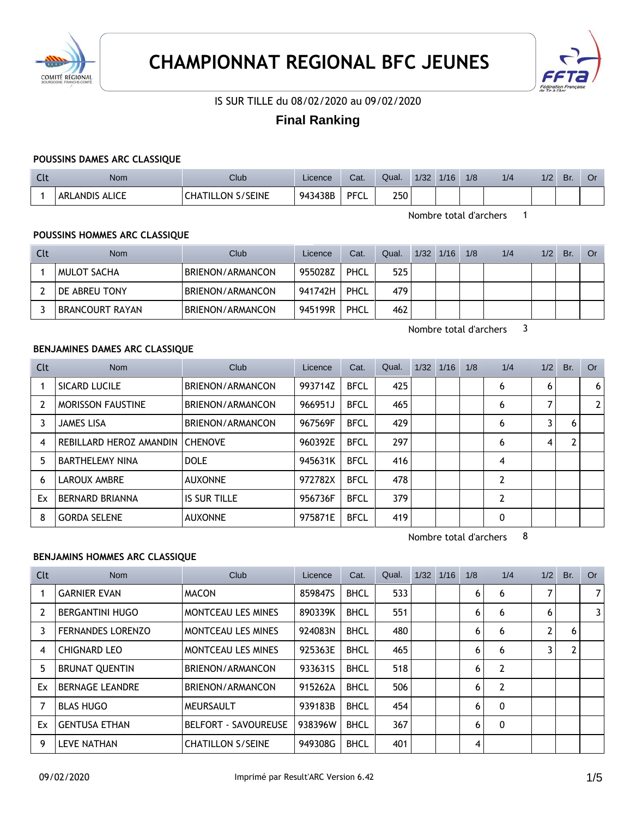



IS SUR TILLE du 08/02/2020 au 09/02/2020

# **Final Ranking**

### **POUSSINS DAMES ARC CLASSIQUE**

| $\sim$<br>๛ | Nom                   | Club                        | Licence | Cat.        | Qual. | 1/32 | 1/16 | 1/8 | 1/4 | 1/2 | Br. | Û |
|-------------|-----------------------|-----------------------------|---------|-------------|-------|------|------|-----|-----|-----|-----|---|
|             | <b>ARLANDIS ALICE</b> | S/SEINE<br><b>CHATILLON</b> | 943438B | <b>PFCL</b> | 250   |      |      |     |     |     |     |   |

Nombre total d'archers 1

# **POUSSINS HOMMES ARC CLASSIQUE**

| Clt | <b>Nom</b>           | Club             | Licence | Cat. | Qual. | 1/32 | 1/16 | 1/8 | 1/4 | 1/2 | Br. | Or |
|-----|----------------------|------------------|---------|------|-------|------|------|-----|-----|-----|-----|----|
|     | MULOT SACHA          | BRIENON/ARMANCON | 955028Z | PHCL | 525   |      |      |     |     |     |     |    |
|     | <b>DE ABREU TONY</b> | BRIENON/ARMANCON | 941742H | PHCL | 479   |      |      |     |     |     |     |    |
|     | BRANCOURT RAYAN      | BRIENON/ARMANCON | 945199R | PHCL | 462   |      |      |     |     |     |     |    |

Nombre total d'archers 3

### **BENJAMINES DAMES ARC CLASSIQUE**

| Clt            | <b>Nom</b>               | Club                | Licence | Cat.        | Qual. | $1/32$ $1/16$ | 1/8 | 1/4            | 1/2 | Br. | <b>Or</b> |
|----------------|--------------------------|---------------------|---------|-------------|-------|---------------|-----|----------------|-----|-----|-----------|
|                | SICARD LUCILE            | BRIENON/ARMANCON    | 993714Z | <b>BFCL</b> | 425   |               |     | 6              | 6   |     | 6         |
| $\overline{2}$ | <b>MORISSON FAUSTINE</b> | BRIENON/ARMANCON    | 966951J | <b>BFCL</b> | 465   |               |     | 6              |     |     | 2         |
| 3              | <b>JAMES LISA</b>        | BRIENON/ARMANCON    | 967569F | <b>BFCL</b> | 429   |               |     | 6              | 3   | 6   |           |
| 4              | REBILLARD HEROZ AMANDIN  | <b>CHENOVE</b>      | 960392E | <b>BFCL</b> | 297   |               |     | 6              | 4   | C   |           |
| 5              | <b>BARTHELEMY NINA</b>   | <b>DOLE</b>         | 945631K | <b>BFCL</b> | 416   |               |     | 4              |     |     |           |
| 6              | LAROUX AMBRE             | <b>AUXONNE</b>      | 972782X | <b>BFCL</b> | 478   |               |     | $\overline{2}$ |     |     |           |
| Ex             | <b>BERNARD BRIANNA</b>   | <b>IS SUR TILLE</b> | 956736F | <b>BFCL</b> | 379   |               |     | $\overline{2}$ |     |     |           |
| 8              | <b>GORDA SELENE</b>      | <b>AUXONNE</b>      | 975871E | <b>BFCL</b> | 419   |               |     | $\Omega$       |     |     |           |

Nombre total d'archers 8

### **BENJAMINS HOMMES ARC CLASSIQUE**

| Clt | Nom                      | Club                        | Licence | Cat.        | Qual. | 1/32 | 1/16 | 1/8 | 1/4            | 1/2 | Br. | Or             |
|-----|--------------------------|-----------------------------|---------|-------------|-------|------|------|-----|----------------|-----|-----|----------------|
|     | <b>GARNIER EVAN</b>      | <b>MACON</b>                | 8598475 | <b>BHCL</b> | 533   |      |      | 6   | 6              | 7   |     | 7 <sup>1</sup> |
| 2   | <b>BERGANTINI HUGO</b>   | <b>MONTCEAU LES MINES</b>   | 890339K | <b>BHCL</b> | 551   |      |      | 6   | 6              | 6   |     | $\overline{3}$ |
| 3   | <b>FERNANDES LORENZO</b> | <b>MONTCEAU LES MINES</b>   | 924083N | <b>BHCL</b> | 480   |      |      | 6   | 6              | 2   | 6   |                |
| 4   | <b>CHIGNARD LEO</b>      | <b>MONTCEAU LES MINES</b>   | 925363E | <b>BHCL</b> | 465   |      |      | 6   | 6              | 3   |     |                |
| 5   | <b>BRUNAT QUENTIN</b>    | BRIENON/ARMANCON            | 933631S | <b>BHCL</b> | 518   |      |      | 6   | 2              |     |     |                |
| Ex  | <b>BERNAGE LEANDRE</b>   | BRIENON/ARMANCON            | 915262A | <b>BHCL</b> | 506   |      |      | 6   | $\overline{2}$ |     |     |                |
|     | <b>BLAS HUGO</b>         | MEURSAULT                   | 939183B | <b>BHCL</b> | 454   |      |      | 6   | 0              |     |     |                |
| Ex  | <b>GENTUSA ETHAN</b>     | <b>BELFORT - SAVOUREUSE</b> | 938396W | <b>BHCL</b> | 367   |      |      | 6   | 0              |     |     |                |
| 9   | <b>LEVE NATHAN</b>       | <b>CHATILLON S/SEINE</b>    | 949308G | <b>BHCL</b> | 401   |      |      | 4   |                |     |     |                |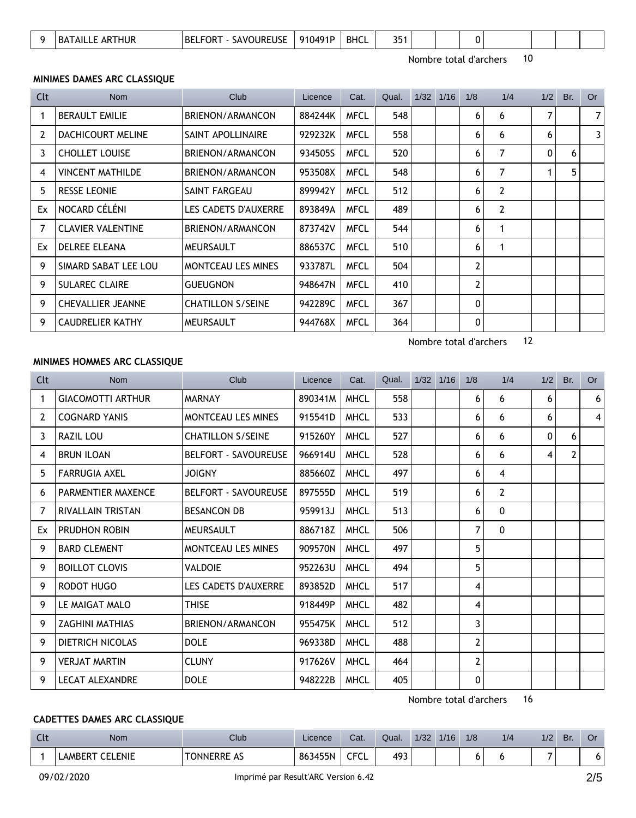| <u>.</u> |  | hur<br>KА<br>ΔΗ | <b>IRFUSF</b><br>----<br>BЕ<br>.)R<br>)LIRF<br>$\Delta V'$ | ∩⊿Q1[<br>910 | <b>BHCL</b> | $\sim$ $-$<br>. .<br>. . |  |  |  |  |  |  |  |  |
|----------|--|-----------------|------------------------------------------------------------|--------------|-------------|--------------------------|--|--|--|--|--|--|--|--|
|----------|--|-----------------|------------------------------------------------------------|--------------|-------------|--------------------------|--|--|--|--|--|--|--|--|

Nombre total d'archers 10

## **MINIMES DAMES ARC CLASSIQUE**

| Clt | <b>Nom</b>               | Club                      | Licence | Cat.        | Qual. | 1/32 | 1/16 | 1/8 | 1/4            | 1/2 | Br. | <b>Or</b>      |
|-----|--------------------------|---------------------------|---------|-------------|-------|------|------|-----|----------------|-----|-----|----------------|
|     | <b>BERAULT EMILIE</b>    | BRIENON/ARMANCON          | 884244K | <b>MFCL</b> | 548   |      |      | 6   | 6              | 7   |     | 7 <sup>1</sup> |
| 2   | DACHICOURT MELINE        | SAINT APOLLINAIRE         | 929232K | <b>MFCL</b> | 558   |      |      | 6   | 6              | 6   |     | 3 <sup>1</sup> |
| 3   | <b>CHOLLET LOUISE</b>    | BRIENON/ARMANCON          | 934505S | <b>MFCL</b> | 520   |      |      | 6   | 7              | 0   | 6   |                |
| 4   | <b>VINCENT MATHILDE</b>  | BRIENON/ARMANCON          | 953508X | <b>MFCL</b> | 548   |      |      | 6   | $\overline{7}$ | 1   | 5   |                |
| 5   | <b>RESSE LEONIE</b>      | SAINT FARGEAU             | 899942Y | <b>MFCL</b> | 512   |      |      | 6   | 2              |     |     |                |
| Ex  | NOCARD CÉLÉNI            | LES CADETS D'AUXERRE      | 893849A | <b>MFCL</b> | 489   |      |      | 6   | 2              |     |     |                |
|     | <b>CLAVIER VALENTINE</b> | BRIENON/ARMANCON          | 873742V | <b>MFCL</b> | 544   |      |      | 6   |                |     |     |                |
| Ex  | <b>DELREE ELEANA</b>     | <b>MEURSAULT</b>          | 886537C | <b>MFCL</b> | 510   |      |      | 6   |                |     |     |                |
| 9   | SIMARD SABAT LEE LOU     | <b>MONTCEAU LES MINES</b> | 933787L | <b>MFCL</b> | 504   |      |      | 2   |                |     |     |                |
| 9   | <b>SULAREC CLAIRE</b>    | <b>GUEUGNON</b>           | 948647N | <b>MFCL</b> | 410   |      |      | 2   |                |     |     |                |
| 9   | <b>CHEVALLIER JEANNE</b> | <b>CHATILLON S/SEINE</b>  | 942289C | <b>MFCL</b> | 367   |      |      | 0   |                |     |     |                |
| 9   | <b>CAUDRELIER KATHY</b>  | <b>MEURSAULT</b>          | 944768X | <b>MFCL</b> | 364   |      |      | 0   |                |     |     |                |

Nombre total d'archers 12

### **MINIMES HOMMES ARC CLASSIQUE**

| Clt            | <b>Nom</b>                | Club                        | Licence | Cat.        | Qual. | $1/32$ $1/16$ | 1/8            | 1/4            | 1/2          | Br.            | <b>Or</b>       |
|----------------|---------------------------|-----------------------------|---------|-------------|-------|---------------|----------------|----------------|--------------|----------------|-----------------|
| 1              | <b>GIACOMOTTI ARTHUR</b>  | <b>MARNAY</b>               | 890341M | <b>MHCL</b> | 558   |               | 6              | 6              | 6            |                | 6 <sup>1</sup>  |
| $\overline{2}$ | <b>COGNARD YANIS</b>      | <b>MONTCEAU LES MINES</b>   | 915541D | <b>MHCL</b> | 533   |               | 6              | 6              | 6            |                | $\vert 4 \vert$ |
| 3              | RAZIL LOU                 | <b>CHATILLON S/SEINE</b>    | 915260Y | <b>MHCL</b> | 527   |               | 6              | 6              | $\mathbf{0}$ | 6              |                 |
| 4              | <b>BRUN ILOAN</b>         | <b>BELFORT - SAVOUREUSE</b> | 966914U | <b>MHCL</b> | 528   |               | 6              | 6              | 4            | $\overline{2}$ |                 |
| 5              | <b>FARRUGIA AXEL</b>      | <b>JOIGNY</b>               | 885660Z | <b>MHCL</b> | 497   |               | 6              | 4              |              |                |                 |
| 6              | <b>PARMENTIER MAXENCE</b> | <b>BELFORT - SAVOUREUSE</b> | 897555D | <b>MHCL</b> | 519   |               | 6              | $\overline{2}$ |              |                |                 |
| 7              | <b>RIVALLAIN TRISTAN</b>  | <b>BESANCON DB</b>          | 959913J | <b>MHCL</b> | 513   |               | 6              | $\mathbf{0}$   |              |                |                 |
| Ex             | PRUDHON ROBIN             | MEURSAULT                   | 886718Z | <b>MHCL</b> | 506   |               | 7              | $\mathbf{0}$   |              |                |                 |
| 9              | <b>BARD CLEMENT</b>       | <b>MONTCEAU LES MINES</b>   | 909570N | <b>MHCL</b> | 497   |               | 5              |                |              |                |                 |
| 9              | <b>BOILLOT CLOVIS</b>     | <b>VALDOIE</b>              | 952263U | <b>MHCL</b> | 494   |               | 5              |                |              |                |                 |
| 9              | <b>RODOT HUGO</b>         | LES CADETS D'AUXERRE        | 893852D | <b>MHCL</b> | 517   |               | 4              |                |              |                |                 |
| 9              | LE MAIGAT MALO            | <b>THISE</b>                | 918449P | <b>MHCL</b> | 482   |               | 4              |                |              |                |                 |
| 9              | <b>ZAGHINI MATHIAS</b>    | BRIENON/ARMANCON            | 955475K | <b>MHCL</b> | 512   |               | 3              |                |              |                |                 |
| 9              | DIETRICH NICOLAS          | <b>DOLE</b>                 | 969338D | <b>MHCL</b> | 488   |               | $\overline{2}$ |                |              |                |                 |
| 9              | <b>VERJAT MARTIN</b>      | <b>CLUNY</b>                | 917626V | <b>MHCL</b> | 464   |               | $\overline{2}$ |                |              |                |                 |
| 9              | <b>LECAT ALEXANDRE</b>    | <b>DOLE</b>                 | 948222B | <b>MHCL</b> | 405   |               | 0              |                |              |                |                 |

Nombre total d'archers 16

# **CADETTES DAMES ARC CLASSIQUE**

| $\sim$ 1.<br>ิ | Nom                             | Club               | Licence      | Cat.           | Qual. | 1/32 | 1/16 | 1/8 | 1/4 | 72 | Br | اك |
|----------------|---------------------------------|--------------------|--------------|----------------|-------|------|------|-----|-----|----|----|----|
|                | LENIE<br>$\mathsf{\neg}$ AMBERT | <b>TONNERRE AS</b> | 3455N<br>863 | CECI<br>∼<br>◡ | 493   |      |      | n.  |     | -  |    |    |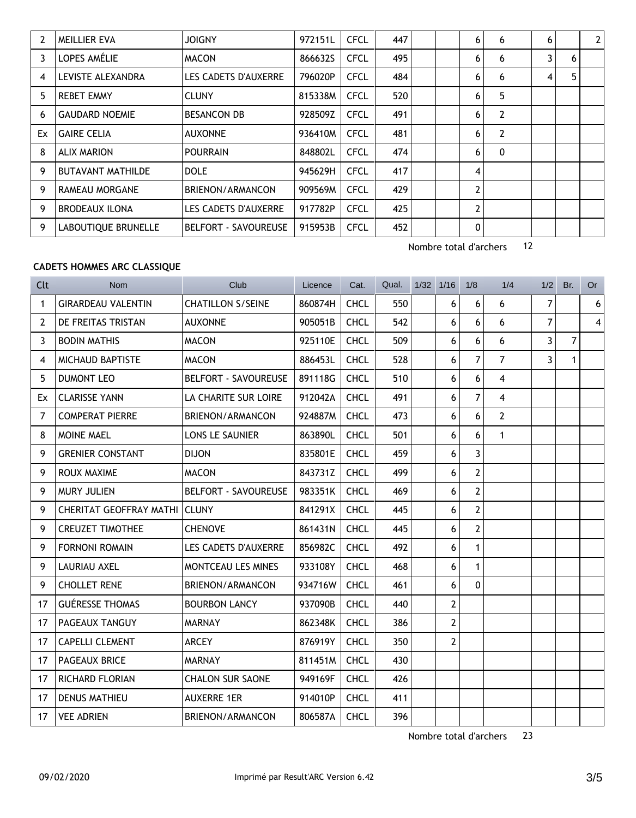|    | MEILLIER EVA               | <b>JOIGNY</b>               | 972151L | <b>CFCL</b> | 447 |  | 6              | 6              | 6 |   | 2 <sup>1</sup> |
|----|----------------------------|-----------------------------|---------|-------------|-----|--|----------------|----------------|---|---|----------------|
| 3  | LOPES AMÉLIE               | <b>MACON</b>                | 866632S | <b>CFCL</b> | 495 |  | 6              | 6              | 3 | 6 |                |
| 4  | LEVISTE ALEXANDRA          | LES CADETS D'AUXERRE        | 796020P | <b>CFCL</b> | 484 |  | 6              | 6              | 4 | 5 |                |
| 5  | <b>REBET EMMY</b>          | <b>CLUNY</b>                | 815338M | <b>CFCL</b> | 520 |  | 6              | 5              |   |   |                |
| 6  | <b>GAUDARD NOEMIE</b>      | <b>BESANCON DB</b>          | 928509Z | <b>CFCL</b> | 491 |  | 6              | $\overline{2}$ |   |   |                |
| Ex | <b>GAIRE CELIA</b>         | <b>AUXONNE</b>              | 936410M | <b>CFCL</b> | 481 |  | 6              | $\overline{2}$ |   |   |                |
| 8  | <b>ALIX MARION</b>         | <b>POURRAIN</b>             | 848802L | <b>CFCL</b> | 474 |  | 6              | 0              |   |   |                |
| 9  | <b>BUTAVANT MATHILDE</b>   | <b>DOLE</b>                 | 945629H | <b>CFCL</b> | 417 |  | 4              |                |   |   |                |
| 9  | RAMEAU MORGANE             | BRIENON/ARMANCON            | 909569M | <b>CFCL</b> | 429 |  | $\overline{2}$ |                |   |   |                |
| 9  | <b>BRODEAUX ILONA</b>      | LES CADETS D'AUXERRE        | 917782P | <b>CFCL</b> | 425 |  | $\mathbf{2}$   |                |   |   |                |
| 9  | <b>LABOUTIOUE BRUNELLE</b> | <b>BELFORT - SAVOUREUSE</b> | 915953B | <b>CFCL</b> | 452 |  | 0              |                |   |   |                |

Nombre total d'archers 12

# **CADETS HOMMES ARC CLASSIQUE**

| <b>Clt</b>     | <b>Nom</b>                     | Club                        | Licence | Cat.        | Qual. | $1/32$ $1/16$ |                | 1/8            | 1/4            | 1/2            | Br.            | Or                      |
|----------------|--------------------------------|-----------------------------|---------|-------------|-------|---------------|----------------|----------------|----------------|----------------|----------------|-------------------------|
| 1              | <b>GIRARDEAU VALENTIN</b>      | <b>CHATILLON S/SEINE</b>    | 860874H | <b>CHCL</b> | 550   |               | 6              | 6              | 6              | $\overline{7}$ |                | $6\phantom{.}6$         |
| $\overline{2}$ | DE FREITAS TRISTAN             | <b>AUXONNE</b>              | 905051B | <b>CHCL</b> | 542   |               | 6              | 6              | 6              | 7              |                | $\overline{\mathbf{4}}$ |
| 3              | <b>BODIN MATHIS</b>            | <b>MACON</b>                | 925110E | <b>CHCL</b> | 509   |               | 6              | 6              | 6              | 3              | $\overline{7}$ |                         |
| 4              | <b>MICHAUD BAPTISTE</b>        | <b>MACON</b>                | 886453L | <b>CHCL</b> | 528   |               | 6              | $\overline{7}$ | $\overline{7}$ | 3              | $\mathbf 1$    |                         |
| 5              | <b>DUMONT LEO</b>              | <b>BELFORT - SAVOUREUSE</b> | 891118G | <b>CHCL</b> | 510   |               | 6              | 6              | 4              |                |                |                         |
| Ex             | <b>CLARISSE YANN</b>           | LA CHARITE SUR LOIRE        | 912042A | <b>CHCL</b> | 491   |               | 6              | $\overline{7}$ | 4              |                |                |                         |
| $\overline{7}$ | <b>COMPERAT PIERRE</b>         | BRIENON/ARMANCON            | 924887M | <b>CHCL</b> | 473   |               | 6              | 6              | $\overline{2}$ |                |                |                         |
| 8              | MOINE MAEL                     | LONS LE SAUNIER             | 863890L | <b>CHCL</b> | 501   |               | 6              | 6              | $\mathbf{1}$   |                |                |                         |
| 9              | <b>GRENIER CONSTANT</b>        | <b>DIJON</b>                | 835801E | <b>CHCL</b> | 459   |               | 6              | 3              |                |                |                |                         |
| 9              | ROUX MAXIME                    | <b>MACON</b>                | 843731Z | <b>CHCL</b> | 499   |               | 6              | $\overline{2}$ |                |                |                |                         |
| 9              | <b>MURY JULIEN</b>             | <b>BELFORT - SAVOUREUSE</b> | 983351K | <b>CHCL</b> | 469   |               | 6              | $\overline{2}$ |                |                |                |                         |
| 9              | <b>CHERITAT GEOFFRAY MATHI</b> | <b>CLUNY</b>                | 841291X | <b>CHCL</b> | 445   |               | 6              | $\overline{2}$ |                |                |                |                         |
| 9              | <b>CREUZET TIMOTHEE</b>        | <b>CHENOVE</b>              | 861431N | <b>CHCL</b> | 445   |               | 6              | $\overline{2}$ |                |                |                |                         |
| 9              | <b>FORNONI ROMAIN</b>          | LES CADETS D'AUXERRE        | 856982C | <b>CHCL</b> | 492   |               | 6              | $\mathbf{1}$   |                |                |                |                         |
| 9              | <b>LAURIAU AXEL</b>            | <b>MONTCEAU LES MINES</b>   | 933108Y | <b>CHCL</b> | 468   |               | 6              | $\mathbf{1}$   |                |                |                |                         |
| 9              | <b>CHOLLET RENE</b>            | BRIENON/ARMANCON            | 934716W | <b>CHCL</b> | 461   |               | 6              | $\mathbf{0}$   |                |                |                |                         |
| 17             | <b>GUÉRESSE THOMAS</b>         | <b>BOURBON LANCY</b>        | 937090B | <b>CHCL</b> | 440   |               | $\overline{2}$ |                |                |                |                |                         |
| 17             | PAGEAUX TANGUY                 | <b>MARNAY</b>               | 862348K | <b>CHCL</b> | 386   |               | $\overline{2}$ |                |                |                |                |                         |
| 17             | <b>CAPELLI CLEMENT</b>         | <b>ARCEY</b>                | 876919Y | <b>CHCL</b> | 350   |               | $\overline{2}$ |                |                |                |                |                         |
| 17             | <b>PAGEAUX BRICE</b>           | <b>MARNAY</b>               | 811451M | <b>CHCL</b> | 430   |               |                |                |                |                |                |                         |
| 17             | <b>RICHARD FLORIAN</b>         | <b>CHALON SUR SAONE</b>     | 949169F | <b>CHCL</b> | 426   |               |                |                |                |                |                |                         |
| 17             | <b>DENUS MATHIEU</b>           | <b>AUXERRE 1ER</b>          | 914010P | <b>CHCL</b> | 411   |               |                |                |                |                |                |                         |
| 17             | <b>VEE ADRIEN</b>              | BRIENON/ARMANCON            | 806587A | <b>CHCL</b> | 396   |               |                |                |                |                |                |                         |

Nombre total d'archers 23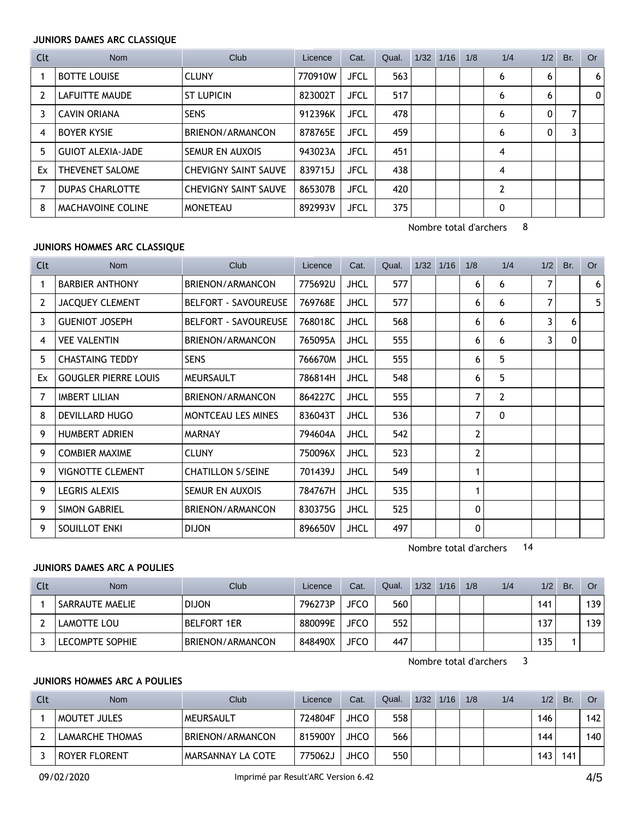### **JUNIORS DAMES ARC CLASSIQUE**

| Clt            | Nom                      | Club                        | Licence | Cat.        | Qual. | 1/32 | 1/16 | 1/8 | 1/4            | 1/2 | Br. | Or             |
|----------------|--------------------------|-----------------------------|---------|-------------|-------|------|------|-----|----------------|-----|-----|----------------|
|                | <b>BOTTE LOUISE</b>      | <b>CLUNY</b>                | 770910W | <b>JFCL</b> | 563   |      |      |     | 6              | 6   |     | 6 <sup>1</sup> |
| $\overline{2}$ | LAFUITTE MAUDE           | <b>ST LUPICIN</b>           | 823002T | <b>JFCL</b> | 517   |      |      |     | 6              | 6   |     | $\Omega$       |
| 3              | <b>CAVIN ORIANA</b>      | <b>SENS</b>                 | 912396K | <b>JFCL</b> | 478   |      |      |     | 6              | 0   |     |                |
| 4              | <b>BOYER KYSIE</b>       | BRIENON/ARMANCON            | 878765E | <b>JFCL</b> | 459   |      |      |     | 6              | 0   |     |                |
| 5              | <b>GUIOT ALEXIA-JADE</b> | <b>SEMUR EN AUXOIS</b>      | 943023A | <b>JFCL</b> | 451   |      |      |     | 4              |     |     |                |
| Ex             | THEVENET SALOME          | <b>CHEVIGNY SAINT SAUVE</b> | 839715J | <b>JFCL</b> | 438   |      |      |     | 4              |     |     |                |
| 7              | <b>DUPAS CHARLOTTE</b>   | <b>CHEVIGNY SAINT SAUVE</b> | 865307B | <b>JFCL</b> | 420   |      |      |     | $\overline{2}$ |     |     |                |
| 8              | MACHAVOINE COLINE        | <b>MONETEAU</b>             | 892993V | <b>JFCL</b> | 375   |      |      |     | 0              |     |     |                |

Nombre total d'archers 8

### **JUNIORS HOMMES ARC CLASSIQUE**

| <b>Clt</b> | <b>Nom</b>                  | Club                        | Licence | Cat.        | Qual. | 1/32 | 1/16 | 1/8            | 1/4            | 1/2 | Br.          | <b>Or</b>      |
|------------|-----------------------------|-----------------------------|---------|-------------|-------|------|------|----------------|----------------|-----|--------------|----------------|
| 1          | <b>BARBIER ANTHONY</b>      | BRIENON/ARMANCON            | 775692U | <b>JHCL</b> | 577   |      |      | 6              | 6              | 7   |              | 6 <sup>1</sup> |
| 2          | <b>JACQUEY CLEMENT</b>      | <b>BELFORT - SAVOUREUSE</b> | 769768E | <b>JHCL</b> | 577   |      |      | 6              | 6              | 7   |              | 5              |
| 3          | <b>GUENIOT JOSEPH</b>       | <b>BELFORT - SAVOUREUSE</b> | 768018C | <b>JHCL</b> | 568   |      |      | 6              | 6              | 3   | 6            |                |
| 4          | <b>VEE VALENTIN</b>         | BRIENON/ARMANCON            | 765095A | <b>JHCL</b> | 555   |      |      | 6              | 6              | 3   | $\mathbf{0}$ |                |
| 5          | <b>CHASTAING TEDDY</b>      | <b>SENS</b>                 | 766670M | <b>JHCL</b> | 555   |      |      | 6              | 5              |     |              |                |
| Ex         | <b>GOUGLER PIERRE LOUIS</b> | <b>MEURSAULT</b>            | 786814H | <b>JHCL</b> | 548   |      |      | 6              | 5              |     |              |                |
| 7          | <b>IMBERT LILIAN</b>        | BRIENON/ARMANCON            | 864227C | <b>JHCL</b> | 555   |      |      | $\overline{7}$ | $\overline{2}$ |     |              |                |
| 8          | <b>DEVILLARD HUGO</b>       | <b>MONTCEAU LES MINES</b>   | 836043T | <b>JHCL</b> | 536   |      |      | 7              | $\mathbf{0}$   |     |              |                |
| 9          | <b>HUMBERT ADRIEN</b>       | <b>MARNAY</b>               | 794604A | <b>JHCL</b> | 542   |      |      | $\overline{2}$ |                |     |              |                |
| 9          | <b>COMBIER MAXIME</b>       | <b>CLUNY</b>                | 750096X | <b>JHCL</b> | 523   |      |      | $\mathbf{2}$   |                |     |              |                |
| 9          | <b>VIGNOTTE CLEMENT</b>     | <b>CHATILLON S/SEINE</b>    | 701439J | <b>JHCL</b> | 549   |      |      | 1              |                |     |              |                |
| 9          | LEGRIS ALEXIS               | SEMUR EN AUXOIS             | 784767H | <b>JHCL</b> | 535   |      |      | 1              |                |     |              |                |
| 9          | <b>SIMON GABRIEL</b>        | BRIENON/ARMANCON            | 830375G | <b>JHCL</b> | 525   |      |      | 0              |                |     |              |                |
| 9          | SOUILLOT ENKI               | <b>DIJON</b>                | 896650V | <b>JHCL</b> | 497   |      |      | $\mathbf{0}$   |                |     |              |                |

Nombre total d'archers 14

# **JUNIORS DAMES ARC A POULIES**

| Clt | <b>Nom</b>      | Club               | Licence | Cat.        | Qual. | 1/32 | 1/16 | 1/8 | 1/4 | 1/2 | Br. | Or  |
|-----|-----------------|--------------------|---------|-------------|-------|------|------|-----|-----|-----|-----|-----|
|     | SARRAUTE MAELIE | <b>DIJON</b>       | 796273P | <b>JFCO</b> | 560   |      |      |     |     | 141 |     | 139 |
|     | LAMOTTE LOU     | <b>BELFORT 1ER</b> | 880099E | JFCO        | 552   |      |      |     |     | 137 |     | 139 |
|     | LECOMPTE SOPHIE | BRIENON/ARMANCON   | 848490X | <b>JFCO</b> | 447   |      |      |     |     | 135 |     |     |

Nombre total d'archers 3

## **JUNIORS HOMMES ARC A POULIES**

| Clt | <b>Nom</b>             | Club                     | Licence | Cat. | Qual. | 1/32 | 1/16 | 1/8 | 1/4 | 1/2 | Br. | Or  |
|-----|------------------------|--------------------------|---------|------|-------|------|------|-----|-----|-----|-----|-----|
|     | MOUTET JULES           | <b>MEURSAULT</b>         | 724804F | JHCO | 558   |      |      |     |     | 146 |     | 142 |
|     | <b>LAMARCHE THOMAS</b> | BRIENON/ARMANCON         | 815900Y | JHCO | 566   |      |      |     |     | 144 |     | 140 |
|     | <b>ROYER FLORENT</b>   | <b>MARSANNAY LA COTE</b> | 775062、 | JHCO | 550   |      |      |     |     | 143 | 141 |     |